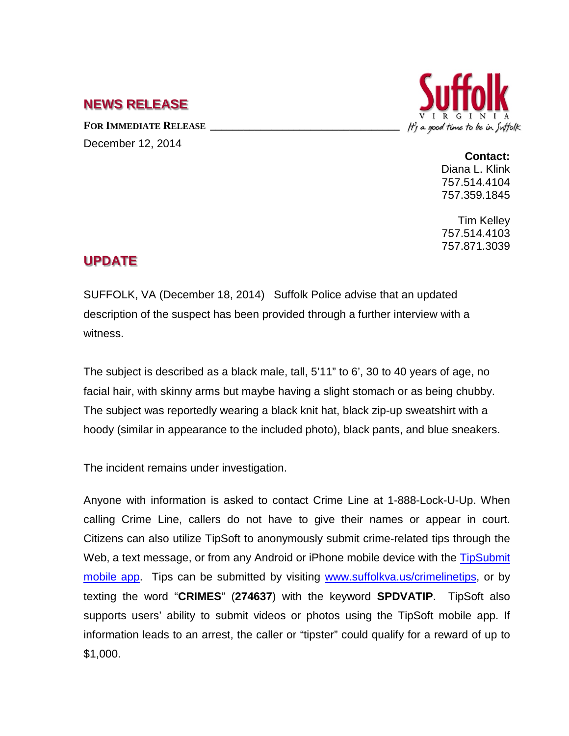## **NEWS RELEASE**

FOR **IMMEDIATE RELEASE** December 12, 2014



**Contact:** Diana L. Klink 757.514.4104 757.359.1845

Tim Kelley 757.514.4103 757.871.3039

## **UPDATE**

SUFFOLK, VA (December 18, 2014) Suffolk Police advise that an updated description of the suspect has been provided through a further interview with a witness.

The subject is described as a black male, tall, 5'11" to 6', 30 to 40 years of age, no facial hair, with skinny arms but maybe having a slight stomach or as being chubby. The subject was reportedly wearing a black knit hat, black zip-up sweatshirt with a hoody (similar in appearance to the included photo), black pants, and blue sneakers.

The incident remains under investigation.

Anyone with information is asked to contact Crime Line at 1-888-Lock-U-Up. When calling Crime Line, callers do not have to give their names or appear in court. Citizens can also utilize TipSoft to anonymously submit crime-related tips through the Web, a text message, or from any Android or iPhone mobile device with the TipSubmit [mobile app.](http://www.tipsoft.com/index.asp?P=TipSubmitMobile) Tips can be submitted by visiting [www.suffolkva.us/crimelinetips,](http://www.suffolkva.us/crimelinetips) or by texting the word "**CRIMES**" (**274637**) with the keyword **SPDVATIP**. TipSoft also supports users' ability to submit videos or photos using the TipSoft mobile app. If information leads to an arrest, the caller or "tipster" could qualify for a reward of up to \$1,000.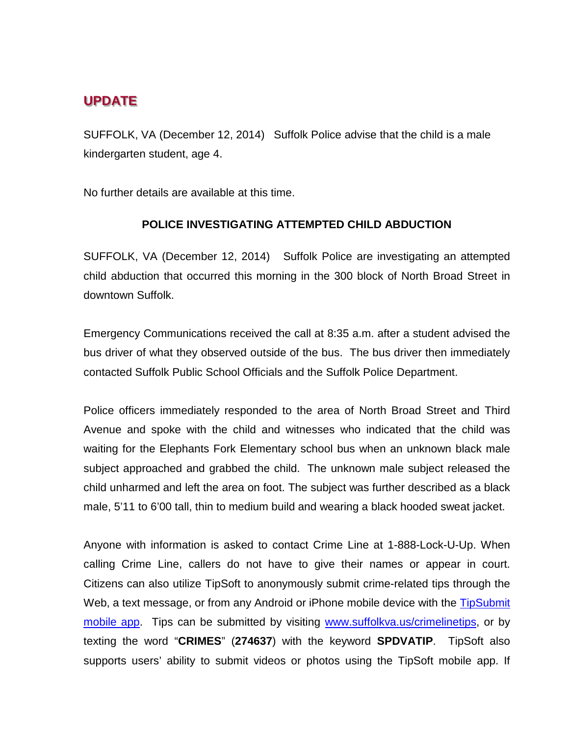## **UPDATE**

SUFFOLK, VA (December 12, 2014) Suffolk Police advise that the child is a male kindergarten student, age 4.

No further details are available at this time.

## **POLICE INVESTIGATING ATTEMPTED CHILD ABDUCTION**

SUFFOLK, VA (December 12, 2014) Suffolk Police are investigating an attempted child abduction that occurred this morning in the 300 block of North Broad Street in downtown Suffolk.

Emergency Communications received the call at 8:35 a.m. after a student advised the bus driver of what they observed outside of the bus. The bus driver then immediately contacted Suffolk Public School Officials and the Suffolk Police Department.

Police officers immediately responded to the area of North Broad Street and Third Avenue and spoke with the child and witnesses who indicated that the child was waiting for the Elephants Fork Elementary school bus when an unknown black male subject approached and grabbed the child. The unknown male subject released the child unharmed and left the area on foot. The subject was further described as a black male, 5'11 to 6'00 tall, thin to medium build and wearing a black hooded sweat jacket.

Anyone with information is asked to contact Crime Line at 1-888-Lock-U-Up. When calling Crime Line, callers do not have to give their names or appear in court. Citizens can also utilize TipSoft to anonymously submit crime-related tips through the Web, a text message, or from any Android or iPhone mobile device with the TipSubmit [mobile app.](http://www.tipsoft.com/index.asp?P=TipSubmitMobile) Tips can be submitted by visiting [www.suffolkva.us/crimelinetips,](http://www.suffolkva.us/crimelinetips) or by texting the word "**CRIMES**" (**274637**) with the keyword **SPDVATIP**. TipSoft also supports users' ability to submit videos or photos using the TipSoft mobile app. If